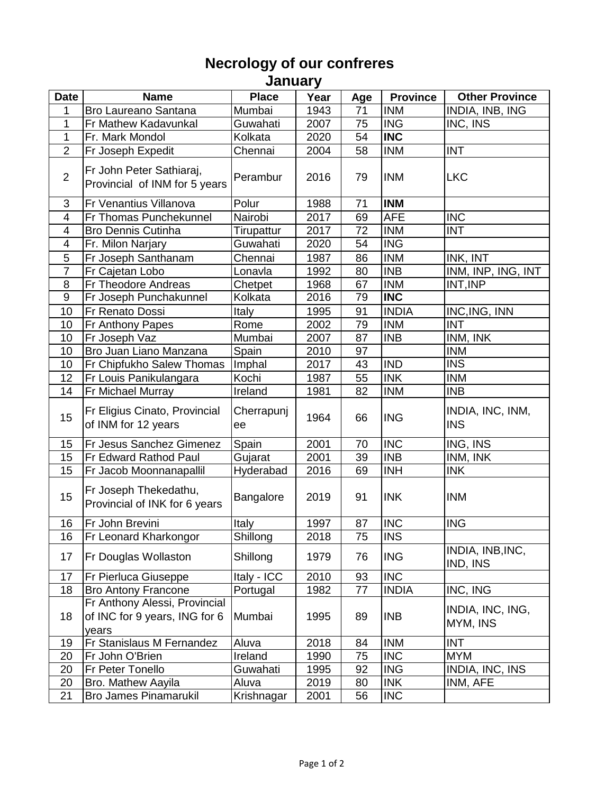## **Necrology of our confreres**

**January** 

| <b>Date</b>              | <b>Name</b>                                                             | <b>Place</b>     | Year | Age | <b>Province</b> | <b>Other Province</b>          |
|--------------------------|-------------------------------------------------------------------------|------------------|------|-----|-----------------|--------------------------------|
| 1                        | <b>Bro Laureano Santana</b>                                             | Mumbai           | 1943 | 71  | <b>INM</b>      | INDIA, INB, ING                |
| 1                        | Fr Mathew Kadavunkal                                                    | Guwahati         | 2007 | 75  | <b>ING</b>      | INC, INS                       |
| 1                        | Fr. Mark Mondol                                                         | Kolkata          | 2020 | 54  | <b>INC</b>      |                                |
| $\overline{2}$           | Fr Joseph Expedit                                                       | Chennai          | 2004 | 58  | <b>INM</b>      | <b>INT</b>                     |
| $\overline{2}$           | Fr John Peter Sathiaraj,<br>Provincial of INM for 5 years               | Perambur         | 2016 | 79  | <b>INM</b>      | <b>LKC</b>                     |
| 3                        | Fr Venantius Villanova                                                  | Polur            | 1988 | 71  | <b>INM</b>      |                                |
| 4                        | Fr Thomas Punchekunnel                                                  | Nairobi          | 2017 | 69  | <b>AFE</b>      | <b>INC</b>                     |
| 4                        | <b>Bro Dennis Cutinha</b>                                               | Tirupattur       | 2017 | 72  | <b>INM</b>      | <b>INT</b>                     |
| $\overline{\mathcal{A}}$ | Fr. Milon Narjary                                                       | Guwahati         | 2020 | 54  | <b>ING</b>      |                                |
| 5                        | Fr Joseph Santhanam                                                     | Chennai          | 1987 | 86  | <b>INM</b>      | INK, INT                       |
| $\overline{7}$           | Fr Cajetan Lobo                                                         | Lonavla          | 1992 | 80  | <b>INB</b>      | INM, INP, ING, INT             |
| 8                        | Fr Theodore Andreas                                                     | Chetpet          | 1968 | 67  | <b>INM</b>      | INT, INP                       |
| $9\,$                    | Fr Joseph Punchakunnel                                                  | Kolkata          | 2016 | 79  | <b>INC</b>      |                                |
| 10                       | Fr Renato Dossi                                                         | Italy            | 1995 | 91  | <b>INDIA</b>    | INC, ING, INN                  |
| 10                       | Fr Anthony Papes                                                        | Rome             | 2002 | 79  | <b>INM</b>      | <b>INT</b>                     |
| 10                       | Fr Joseph Vaz                                                           | Mumbai           | 2007 | 87  | <b>INB</b>      | INM, INK                       |
| 10                       | Bro Juan Liano Manzana                                                  | Spain            | 2010 | 97  |                 | <b>INM</b>                     |
| 10                       | Fr Chipfukho Salew Thomas                                               | Imphal           | 2017 | 43  | <b>IND</b>      | <b>INS</b>                     |
| 12                       | Fr Louis Panikulangara                                                  | Kochi            | 1987 | 55  | <b>INK</b>      | <b>INM</b>                     |
| 14                       | Fr Michael Murray                                                       | Ireland          | 1981 | 82  | <b>INM</b>      | <b>INB</b>                     |
| 15                       | Fr Eligius Cinato, Provincial<br>of INM for 12 years                    | Cherrapunj<br>ee | 1964 | 66  | <b>ING</b>      | INDIA, INC, INM,<br><b>INS</b> |
| 15                       | Fr Jesus Sanchez Gimenez                                                | Spain            | 2001 | 70  | <b>INC</b>      | ING, INS                       |
| 15                       | Fr Edward Rathod Paul                                                   | Gujarat          | 2001 | 39  | <b>INB</b>      | INM, INK                       |
| 15                       | Fr Jacob Moonnanapallil                                                 | Hyderabad        | 2016 | 69  | <b>INH</b>      | <b>INK</b>                     |
| 15                       | Fr Joseph Thekedathu,<br>Provincial of INK for 6 years                  | <b>Bangalore</b> | 2019 | 91  | <b>INK</b>      | <b>INM</b>                     |
| 16                       | Fr John Brevini                                                         | <b>Italy</b>     | 1997 | 87  | <b>INC</b>      | <b>ING</b>                     |
| 16                       | Fr Leonard Kharkongor                                                   | Shillong         | 2018 | 75  | <b>INS</b>      |                                |
| 17                       | Fr Douglas Wollaston                                                    | Shillong         | 1979 | 76  | <b>ING</b>      | INDIA, INB, INC,<br>IND, INS   |
| 17                       | <b>Fr Pierluca Giuseppe</b>                                             | Italy - ICC      | 2010 | 93  | <b>INC</b>      |                                |
| 18                       | <b>Bro Antony Francone</b>                                              | Portugal         | 1982 | 77  | <b>INDIA</b>    | INC, ING                       |
| 18                       | Fr Anthony Alessi, Provincial<br>of INC for 9 years, ING for 6<br>years | Mumbai           | 1995 | 89  | <b>INB</b>      | INDIA, INC, ING,<br>MYM, INS   |
| 19                       | Fr Stanislaus M Fernandez                                               | Aluva            | 2018 | 84  | <b>INM</b>      | <b>INT</b>                     |
| 20                       | Fr John O'Brien                                                         | Ireland          | 1990 | 75  | <b>INC</b>      | <b>MYM</b>                     |
| 20                       | Fr Peter Tonello                                                        | Guwahati         | 1995 | 92  | <b>ING</b>      | INDIA, INC, INS                |
| 20                       | Bro. Mathew Aayila                                                      | Aluva            | 2019 | 80  | <b>INK</b>      | INM, AFE                       |
| 21                       | <b>Bro James Pinamarukil</b>                                            | Krishnagar       | 2001 | 56  | <b>INC</b>      |                                |